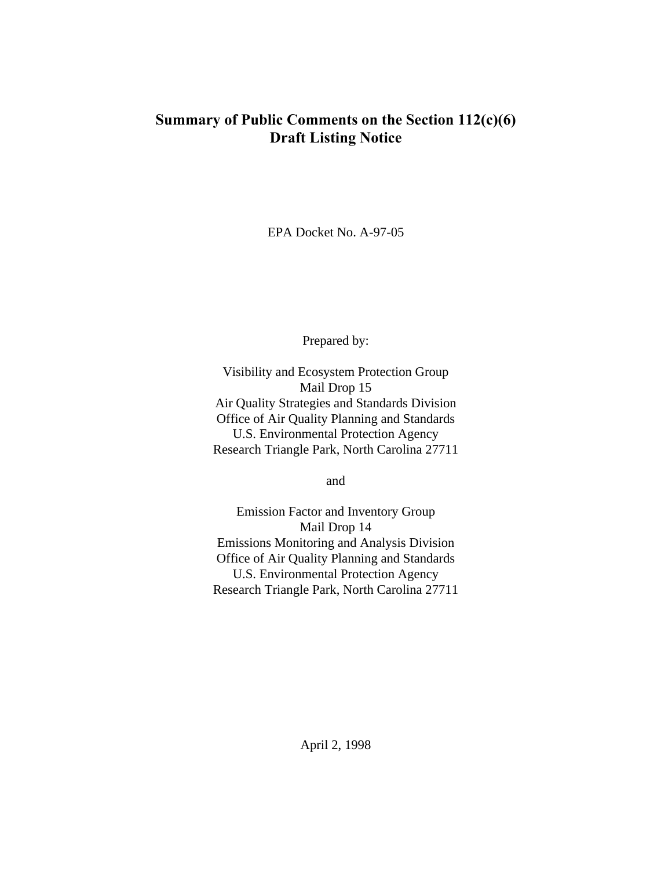# **Summary of Public Comments on the Section 112(c)(6) Draft Listing Notice**

EPA Docket No. A-97-05

Prepared by:

Visibility and Ecosystem Protection Group Mail Drop 15 Air Quality Strategies and Standards Division Office of Air Quality Planning and Standards U.S. Environmental Protection Agency Research Triangle Park, North Carolina 27711

and

Emission Factor and Inventory Group Mail Drop 14 Emissions Monitoring and Analysis Division Office of Air Quality Planning and Standards U.S. Environmental Protection Agency Research Triangle Park, North Carolina 27711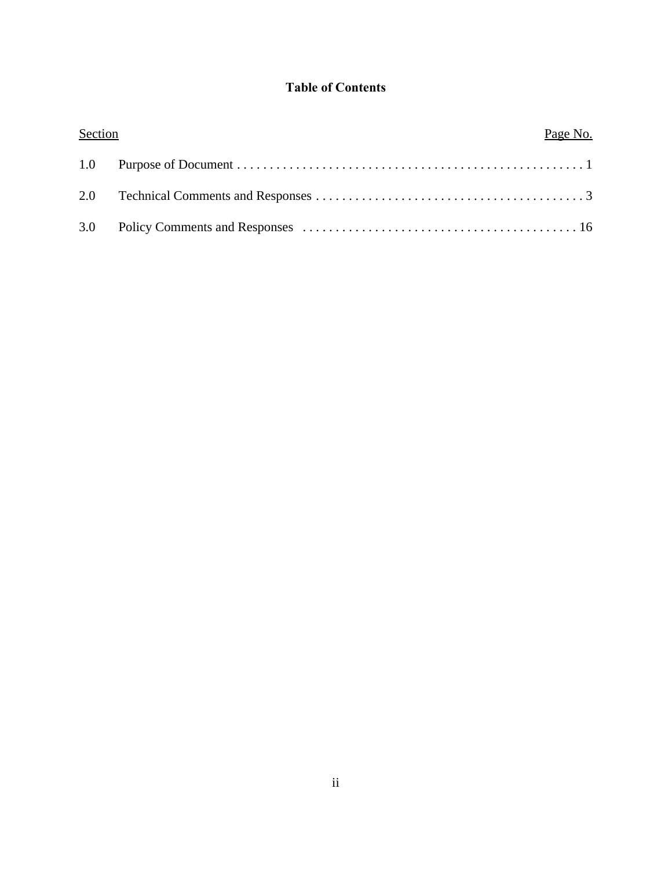# **Table of Contents**

| Section | Page No. |  |
|---------|----------|--|
|         |          |  |
|         |          |  |
| 3.0     |          |  |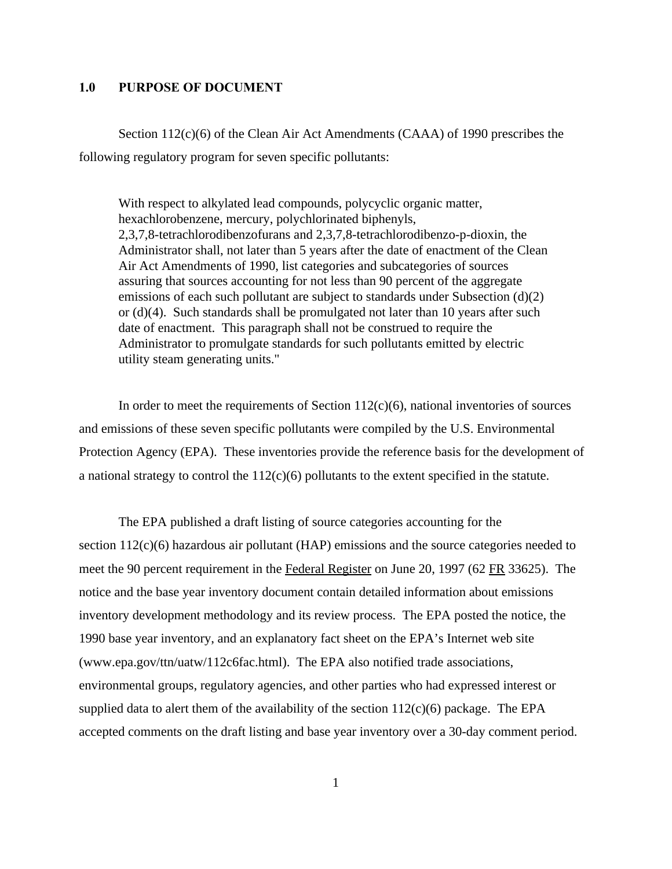### **1.0 PURPOSE OF DOCUMENT**

Section 112(c)(6) of the Clean Air Act Amendments (CAAA) of 1990 prescribes the following regulatory program for seven specific pollutants:

With respect to alkylated lead compounds, polycyclic organic matter, hexachlorobenzene, mercury, polychlorinated biphenyls, 2,3,7,8-tetrachlorodibenzofurans and 2,3,7,8-tetrachlorodibenzo-p-dioxin, the Administrator shall, not later than 5 years after the date of enactment of the Clean Air Act Amendments of 1990, list categories and subcategories of sources assuring that sources accounting for not less than 90 percent of the aggregate emissions of each such pollutant are subject to standards under Subsection (d)(2) or  $(d)(4)$ . Such standards shall be promulgated not later than 10 years after such date of enactment. This paragraph shall not be construed to require the Administrator to promulgate standards for such pollutants emitted by electric utility steam generating units."

In order to meet the requirements of Section  $112(c)(6)$ , national inventories of sources and emissions of these seven specific pollutants were compiled by the U.S. Environmental Protection Agency (EPA). These inventories provide the reference basis for the development of a national strategy to control the 112(c)(6) pollutants to the extent specified in the statute.

The EPA published a draft listing of source categories accounting for the section 112(c)(6) hazardous air pollutant (HAP) emissions and the source categories needed to meet the 90 percent requirement in the Federal Register on June 20, 1997 (62 FR 33625). The notice and the base year inventory document contain detailed information about emissions inventory development methodology and its review process. The EPA posted the notice, the 1990 base year inventory, and an explanatory fact sheet on the EPA's Internet web site (www.epa.gov/ttn/uatw/112c6fac.html). The EPA also notified trade associations, environmental groups, regulatory agencies, and other parties who had expressed interest or supplied data to alert them of the availability of the section  $112(c)(6)$  package. The EPA accepted comments on the draft listing and base year inventory over a 30-day comment period.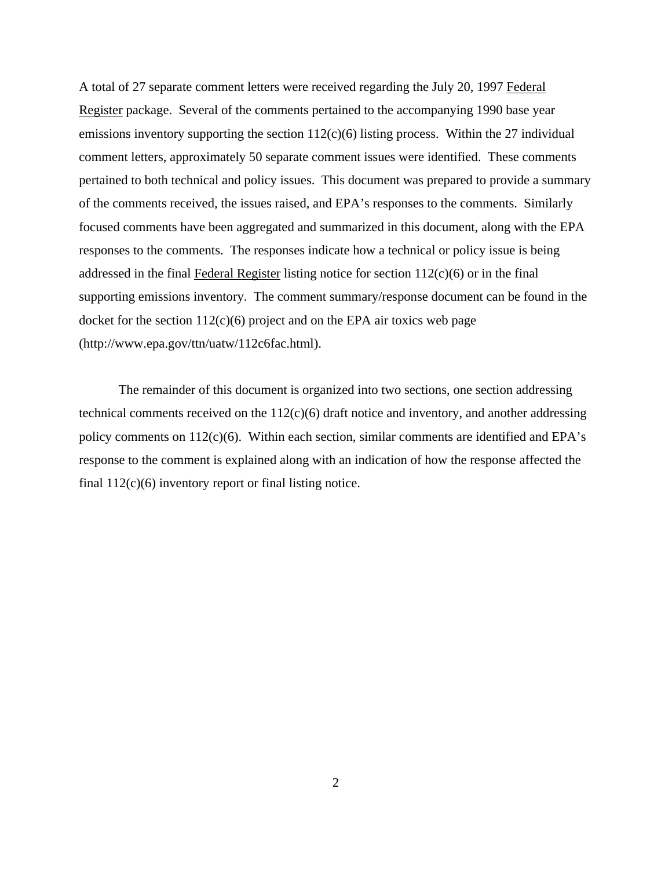A total of 27 separate comment letters were received regarding the July 20, 1997 Federal Register package. Several of the comments pertained to the accompanying 1990 base year emissions inventory supporting the section  $112(c)(6)$  listing process. Within the 27 individual comment letters, approximately 50 separate comment issues were identified. These comments pertained to both technical and policy issues. This document was prepared to provide a summary of the comments received, the issues raised, and EPA's responses to the comments. Similarly focused comments have been aggregated and summarized in this document, along with the EPA responses to the comments. The responses indicate how a technical or policy issue is being addressed in the final Federal Register listing notice for section  $112(c)(6)$  or in the final supporting emissions inventory. The comment summary/response document can be found in the docket for the section  $112(c)(6)$  project and on the EPA air toxics web page (http://www.epa.gov/ttn/uatw/112c6fac.html).

The remainder of this document is organized into two sections, one section addressing technical comments received on the  $112(c)(6)$  draft notice and inventory, and another addressing policy comments on  $112(c)(6)$ . Within each section, similar comments are identified and EPA's response to the comment is explained along with an indication of how the response affected the final 112(c)(6) inventory report or final listing notice.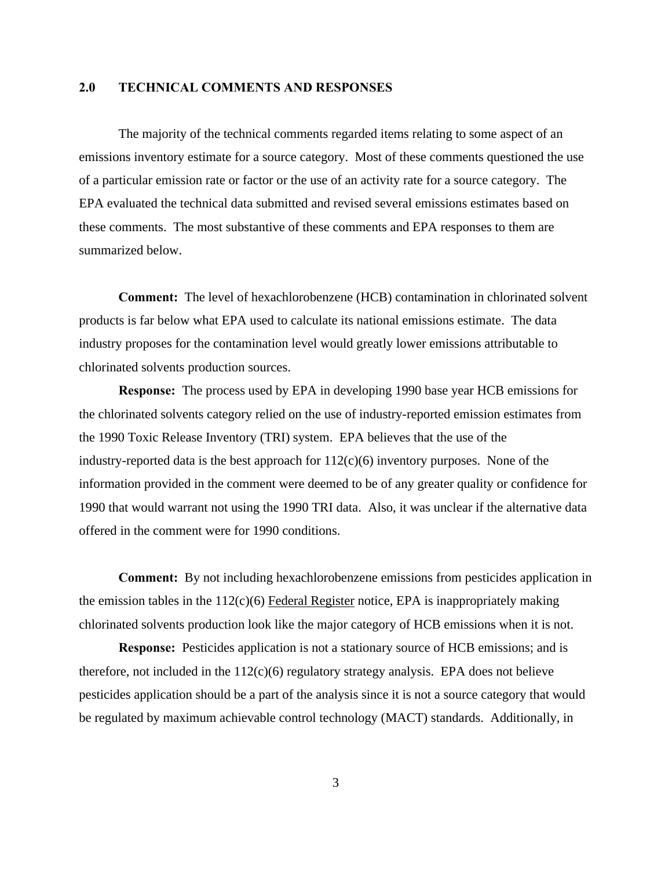### **2.0 TECHNICAL COMMENTS AND RESPONSES**

The majority of the technical comments regarded items relating to some aspect of an emissions inventory estimate for a source category. Most of these comments questioned the use of a particular emission rate or factor or the use of an activity rate for a source category. The EPA evaluated the technical data submitted and revised several emissions estimates based on these comments. The most substantive of these comments and EPA responses to them are summarized below.

**Comment:** The level of hexachlorobenzene (HCB) contamination in chlorinated solvent products is far below what EPA used to calculate its national emissions estimate. The data industry proposes for the contamination level would greatly lower emissions attributable to chlorinated solvents production sources.

**Response:** The process used by EPA in developing 1990 base year HCB emissions for the chlorinated solvents category relied on the use of industry-reported emission estimates from the 1990 Toxic Release Inventory (TRI) system. EPA believes that the use of the industry-reported data is the best approach for  $112(c)(6)$  inventory purposes. None of the information provided in the comment were deemed to be of any greater quality or confidence for 1990 that would warrant not using the 1990 TRI data. Also, it was unclear if the alternative data offered in the comment were for 1990 conditions.

**Comment:** By not including hexachlorobenzene emissions from pesticides application in the emission tables in the  $112(c)(6)$  Federal Register notice, EPA is inappropriately making chlorinated solvents production look like the major category of HCB emissions when it is not.

**Response:** Pesticides application is not a stationary source of HCB emissions; and is therefore, not included in the  $112(c)(6)$  regulatory strategy analysis. EPA does not believe pesticides application should be a part of the analysis since it is not a source category that would be regulated by maximum achievable control technology (MACT) standards. Additionally, in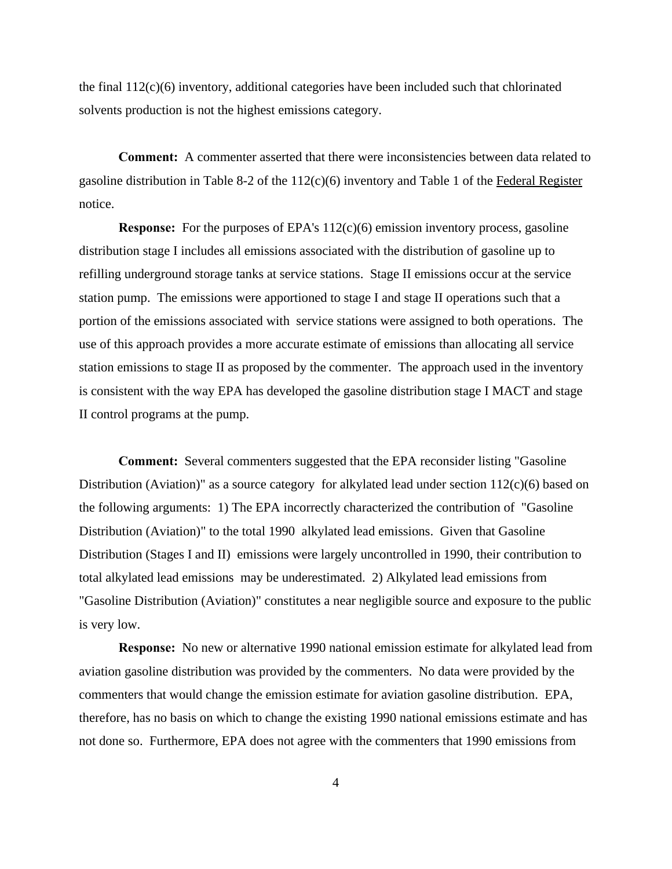the final  $112(c)(6)$  inventory, additional categories have been included such that chlorinated solvents production is not the highest emissions category.

**Comment:** A commenter asserted that there were inconsistencies between data related to gasoline distribution in Table 8-2 of the 112(c)(6) inventory and Table 1 of the Federal Register notice.

**Response:** For the purposes of EPA's 112(c)(6) emission inventory process, gasoline distribution stage I includes all emissions associated with the distribution of gasoline up to refilling underground storage tanks at service stations. Stage II emissions occur at the service station pump. The emissions were apportioned to stage I and stage II operations such that a portion of the emissions associated with service stations were assigned to both operations. The use of this approach provides a more accurate estimate of emissions than allocating all service station emissions to stage II as proposed by the commenter. The approach used in the inventory is consistent with the way EPA has developed the gasoline distribution stage I MACT and stage II control programs at the pump.

**Comment:** Several commenters suggested that the EPA reconsider listing "Gasoline Distribution (Aviation)" as a source category for alkylated lead under section  $112(c)(6)$  based on the following arguments: 1) The EPA incorrectly characterized the contribution of "Gasoline Distribution (Aviation)" to the total 1990 alkylated lead emissions. Given that Gasoline Distribution (Stages I and II) emissions were largely uncontrolled in 1990, their contribution to total alkylated lead emissions may be underestimated. 2) Alkylated lead emissions from "Gasoline Distribution (Aviation)" constitutes a near negligible source and exposure to the public is very low.

**Response:** No new or alternative 1990 national emission estimate for alkylated lead from aviation gasoline distribution was provided by the commenters. No data were provided by the commenters that would change the emission estimate for aviation gasoline distribution. EPA, therefore, has no basis on which to change the existing 1990 national emissions estimate and has not done so. Furthermore, EPA does not agree with the commenters that 1990 emissions from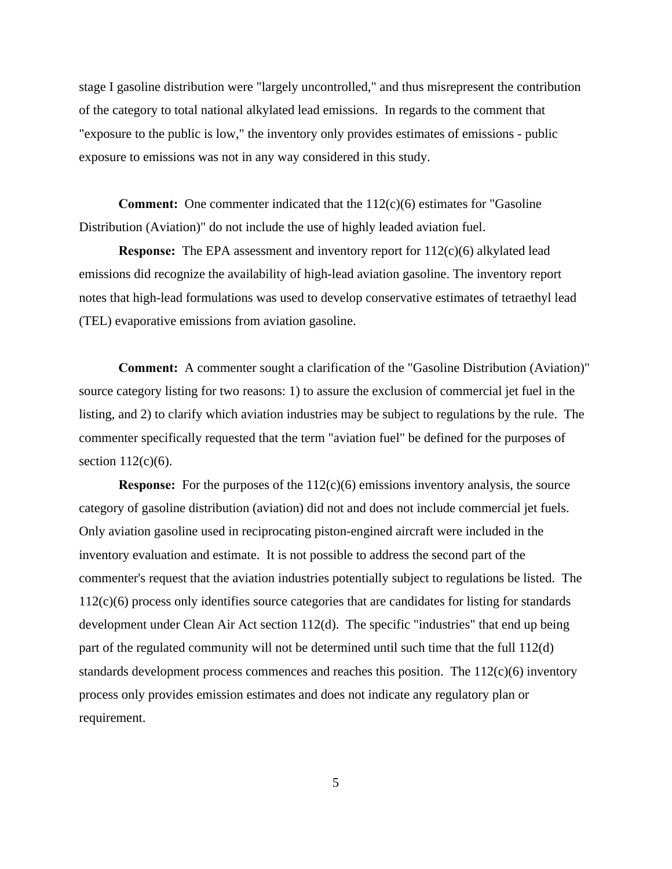stage I gasoline distribution were "largely uncontrolled," and thus misrepresent the contribution of the category to total national alkylated lead emissions. In regards to the comment that "exposure to the public is low," the inventory only provides estimates of emissions - public exposure to emissions was not in any way considered in this study.

**Comment:** One commenter indicated that the 112(c)(6) estimates for "Gasoline" Distribution (Aviation)" do not include the use of highly leaded aviation fuel.

**Response:** The EPA assessment and inventory report for  $112(c)(6)$  alkylated lead emissions did recognize the availability of high-lead aviation gasoline. The inventory report notes that high-lead formulations was used to develop conservative estimates of tetraethyl lead (TEL) evaporative emissions from aviation gasoline.

**Comment:** A commenter sought a clarification of the "Gasoline Distribution (Aviation)" source category listing for two reasons: 1) to assure the exclusion of commercial jet fuel in the listing, and 2) to clarify which aviation industries may be subject to regulations by the rule. The commenter specifically requested that the term "aviation fuel" be defined for the purposes of section  $112(c)(6)$ .

**Response:** For the purposes of the 112(c)(6) emissions inventory analysis, the source category of gasoline distribution (aviation) did not and does not include commercial jet fuels. Only aviation gasoline used in reciprocating piston-engined aircraft were included in the inventory evaluation and estimate. It is not possible to address the second part of the commenter's request that the aviation industries potentially subject to regulations be listed. The 112(c)(6) process only identifies source categories that are candidates for listing for standards development under Clean Air Act section 112(d). The specific "industries" that end up being part of the regulated community will not be determined until such time that the full 112(d) standards development process commences and reaches this position. The  $112(c)(6)$  inventory process only provides emission estimates and does not indicate any regulatory plan or requirement.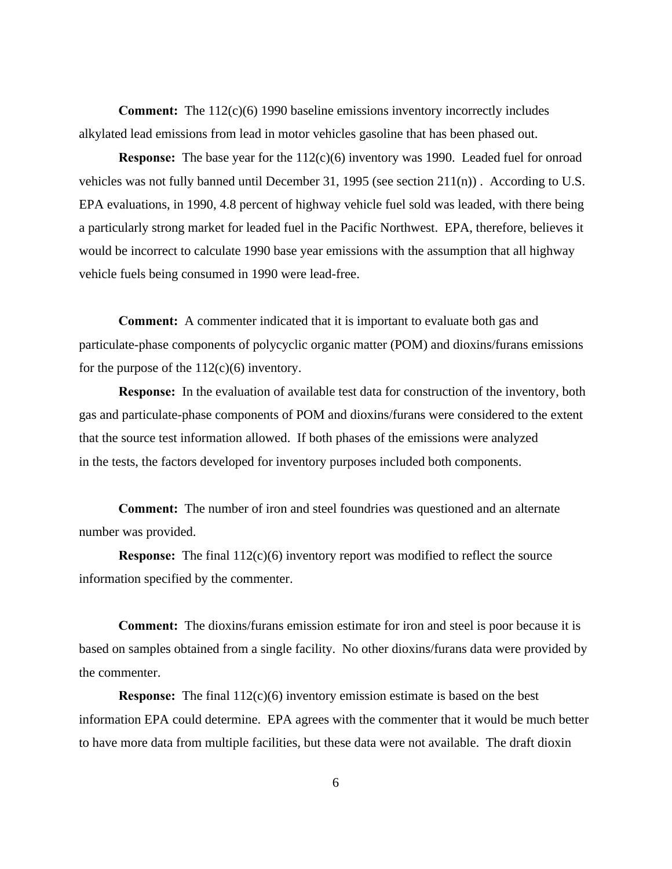**Comment:** The 112(c)(6) 1990 baseline emissions inventory incorrectly includes alkylated lead emissions from lead in motor vehicles gasoline that has been phased out.

**Response:** The base year for the 112(c)(6) inventory was 1990. Leaded fuel for onroad vehicles was not fully banned until December 31, 1995 (see section 211(n)) . According to U.S. EPA evaluations, in 1990, 4.8 percent of highway vehicle fuel sold was leaded, with there being a particularly strong market for leaded fuel in the Pacific Northwest. EPA, therefore, believes it would be incorrect to calculate 1990 base year emissions with the assumption that all highway vehicle fuels being consumed in 1990 were lead-free.

**Comment:** A commenter indicated that it is important to evaluate both gas and particulate-phase components of polycyclic organic matter (POM) and dioxins/furans emissions for the purpose of the  $112(c)(6)$  inventory.

**Response:** In the evaluation of available test data for construction of the inventory, both gas and particulate-phase components of POM and dioxins/furans were considered to the extent that the source test information allowed. If both phases of the emissions were analyzed in the tests, the factors developed for inventory purposes included both components.

**Comment:** The number of iron and steel foundries was questioned and an alternate number was provided.

**Response:** The final 112(c)(6) inventory report was modified to reflect the source information specified by the commenter.

**Comment:** The dioxins/furans emission estimate for iron and steel is poor because it is based on samples obtained from a single facility. No other dioxins/furans data were provided by the commenter.

**Response:** The final 112(c)(6) inventory emission estimate is based on the best information EPA could determine. EPA agrees with the commenter that it would be much better to have more data from multiple facilities, but these data were not available. The draft dioxin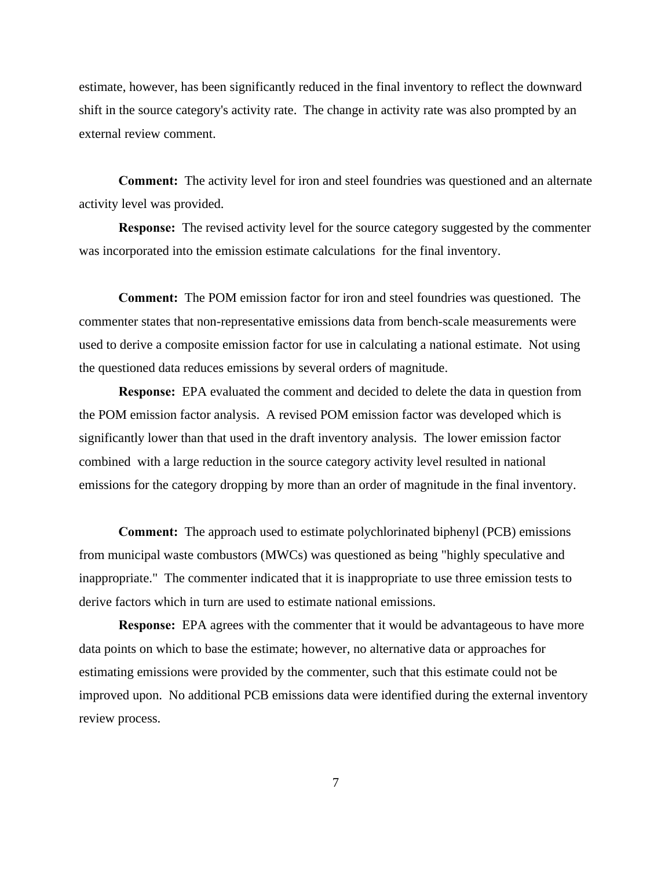estimate, however, has been significantly reduced in the final inventory to reflect the downward shift in the source category's activity rate. The change in activity rate was also prompted by an external review comment.

**Comment:** The activity level for iron and steel foundries was questioned and an alternate activity level was provided.

**Response:** The revised activity level for the source category suggested by the commenter was incorporated into the emission estimate calculations for the final inventory.

**Comment:** The POM emission factor for iron and steel foundries was questioned. The commenter states that non-representative emissions data from bench-scale measurements were used to derive a composite emission factor for use in calculating a national estimate. Not using the questioned data reduces emissions by several orders of magnitude.

**Response:** EPA evaluated the comment and decided to delete the data in question from the POM emission factor analysis. A revised POM emission factor was developed which is significantly lower than that used in the draft inventory analysis. The lower emission factor combined with a large reduction in the source category activity level resulted in national emissions for the category dropping by more than an order of magnitude in the final inventory.

**Comment:** The approach used to estimate polychlorinated biphenyl (PCB) emissions from municipal waste combustors (MWCs) was questioned as being "highly speculative and inappropriate." The commenter indicated that it is inappropriate to use three emission tests to derive factors which in turn are used to estimate national emissions.

**Response:** EPA agrees with the commenter that it would be advantageous to have more data points on which to base the estimate; however, no alternative data or approaches for estimating emissions were provided by the commenter, such that this estimate could not be improved upon. No additional PCB emissions data were identified during the external inventory review process.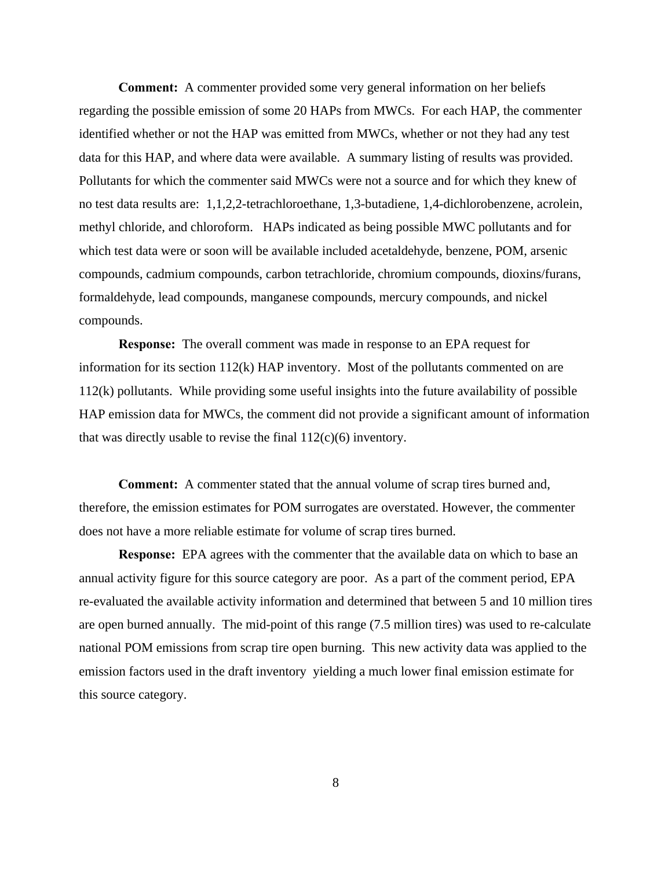**Comment:** A commenter provided some very general information on her beliefs regarding the possible emission of some 20 HAPs from MWCs. For each HAP, the commenter identified whether or not the HAP was emitted from MWCs, whether or not they had any test data for this HAP, and where data were available. A summary listing of results was provided. Pollutants for which the commenter said MWCs were not a source and for which they knew of no test data results are: 1,1,2,2-tetrachloroethane, 1,3-butadiene, 1,4-dichlorobenzene, acrolein, methyl chloride, and chloroform. HAPs indicated as being possible MWC pollutants and for which test data were or soon will be available included acetaldehyde, benzene, POM, arsenic compounds, cadmium compounds, carbon tetrachloride, chromium compounds, dioxins/furans, formaldehyde, lead compounds, manganese compounds, mercury compounds, and nickel compounds.

**Response:** The overall comment was made in response to an EPA request for information for its section 112(k) HAP inventory. Most of the pollutants commented on are 112(k) pollutants. While providing some useful insights into the future availability of possible HAP emission data for MWCs, the comment did not provide a significant amount of information that was directly usable to revise the final  $112(c)(6)$  inventory.

**Comment:** A commenter stated that the annual volume of scrap tires burned and, therefore, the emission estimates for POM surrogates are overstated. However, the commenter does not have a more reliable estimate for volume of scrap tires burned.

**Response:** EPA agrees with the commenter that the available data on which to base an annual activity figure for this source category are poor. As a part of the comment period, EPA re-evaluated the available activity information and determined that between 5 and 10 million tires are open burned annually. The mid-point of this range (7.5 million tires) was used to re-calculate national POM emissions from scrap tire open burning. This new activity data was applied to the emission factors used in the draft inventory yielding a much lower final emission estimate for this source category.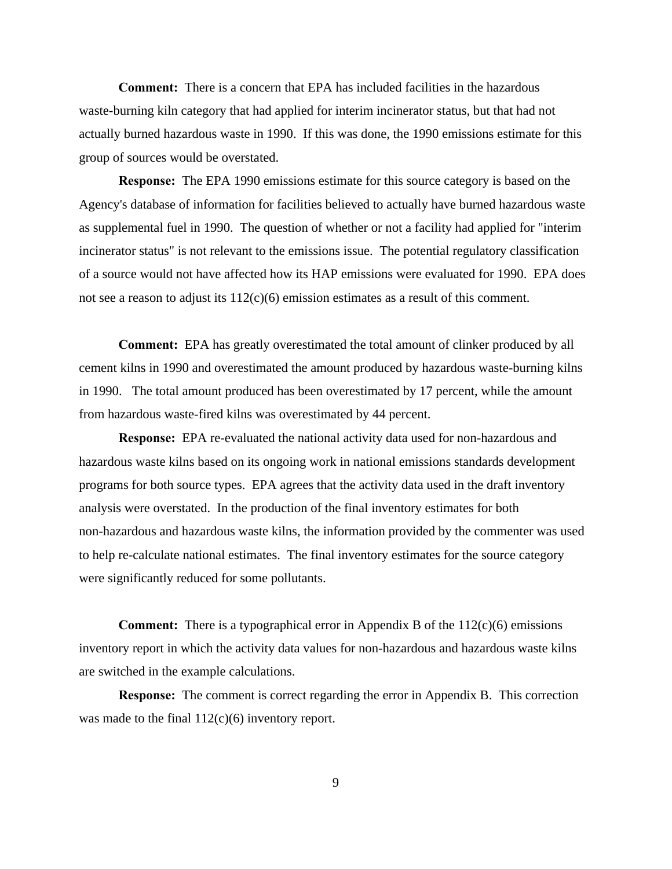**Comment:** There is a concern that EPA has included facilities in the hazardous waste-burning kiln category that had applied for interim incinerator status, but that had not actually burned hazardous waste in 1990. If this was done, the 1990 emissions estimate for this group of sources would be overstated.

**Response:** The EPA 1990 emissions estimate for this source category is based on the Agency's database of information for facilities believed to actually have burned hazardous waste as supplemental fuel in 1990. The question of whether or not a facility had applied for "interim incinerator status" is not relevant to the emissions issue. The potential regulatory classification of a source would not have affected how its HAP emissions were evaluated for 1990. EPA does not see a reason to adjust its  $112(c)(6)$  emission estimates as a result of this comment.

**Comment:** EPA has greatly overestimated the total amount of clinker produced by all cement kilns in 1990 and overestimated the amount produced by hazardous waste-burning kilns in 1990. The total amount produced has been overestimated by 17 percent, while the amount from hazardous waste-fired kilns was overestimated by 44 percent.

**Response:** EPA re-evaluated the national activity data used for non-hazardous and hazardous waste kilns based on its ongoing work in national emissions standards development programs for both source types. EPA agrees that the activity data used in the draft inventory analysis were overstated. In the production of the final inventory estimates for both non-hazardous and hazardous waste kilns, the information provided by the commenter was used to help re-calculate national estimates. The final inventory estimates for the source category were significantly reduced for some pollutants.

**Comment:** There is a typographical error in Appendix B of the 112(c)(6) emissions inventory report in which the activity data values for non-hazardous and hazardous waste kilns are switched in the example calculations.

**Response:** The comment is correct regarding the error in Appendix B. This correction was made to the final  $112(c)(6)$  inventory report.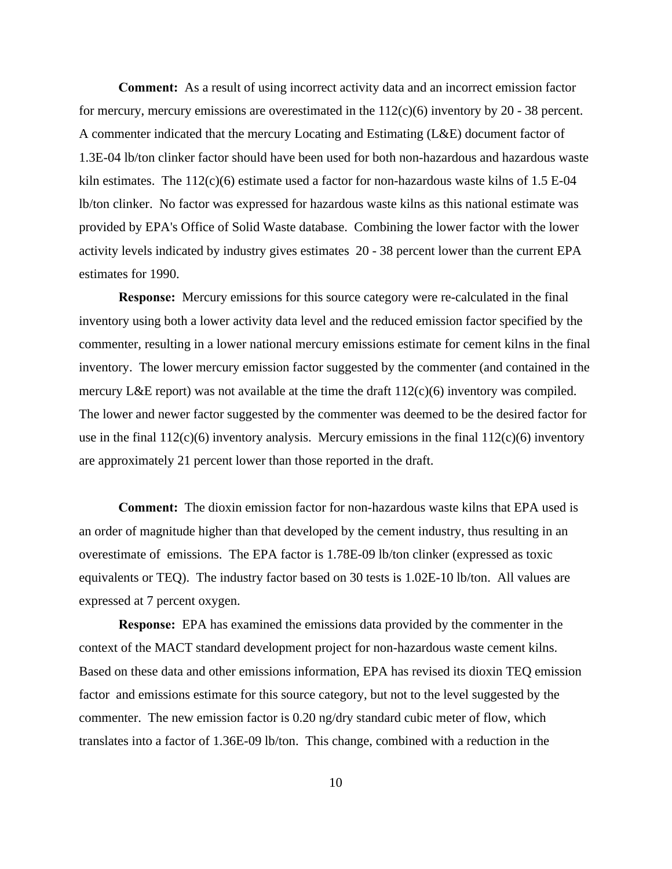**Comment:** As a result of using incorrect activity data and an incorrect emission factor for mercury, mercury emissions are overestimated in the  $112(c)(6)$  inventory by 20 - 38 percent. A commenter indicated that the mercury Locating and Estimating (L&E) document factor of 1.3E-04 lb/ton clinker factor should have been used for both non-hazardous and hazardous waste kiln estimates. The  $112(c)(6)$  estimate used a factor for non-hazardous waste kilns of 1.5 E-04 lb/ton clinker. No factor was expressed for hazardous waste kilns as this national estimate was provided by EPA's Office of Solid Waste database. Combining the lower factor with the lower activity levels indicated by industry gives estimates 20 - 38 percent lower than the current EPA estimates for 1990.

**Response:** Mercury emissions for this source category were re-calculated in the final inventory using both a lower activity data level and the reduced emission factor specified by the commenter, resulting in a lower national mercury emissions estimate for cement kilns in the final inventory. The lower mercury emission factor suggested by the commenter (and contained in the mercury L&E report) was not available at the time the draft  $112(c)(6)$  inventory was compiled. The lower and newer factor suggested by the commenter was deemed to be the desired factor for use in the final  $112(c)(6)$  inventory analysis. Mercury emissions in the final  $112(c)(6)$  inventory are approximately 21 percent lower than those reported in the draft.

**Comment:** The dioxin emission factor for non-hazardous waste kilns that EPA used is an order of magnitude higher than that developed by the cement industry, thus resulting in an overestimate of emissions. The EPA factor is 1.78E-09 lb/ton clinker (expressed as toxic equivalents or TEQ). The industry factor based on 30 tests is 1.02E-10 lb/ton. All values are expressed at 7 percent oxygen.

**Response:** EPA has examined the emissions data provided by the commenter in the context of the MACT standard development project for non-hazardous waste cement kilns. Based on these data and other emissions information, EPA has revised its dioxin TEQ emission factor and emissions estimate for this source category, but not to the level suggested by the commenter. The new emission factor is 0.20 ng/dry standard cubic meter of flow, which translates into a factor of 1.36E-09 lb/ton. This change, combined with a reduction in the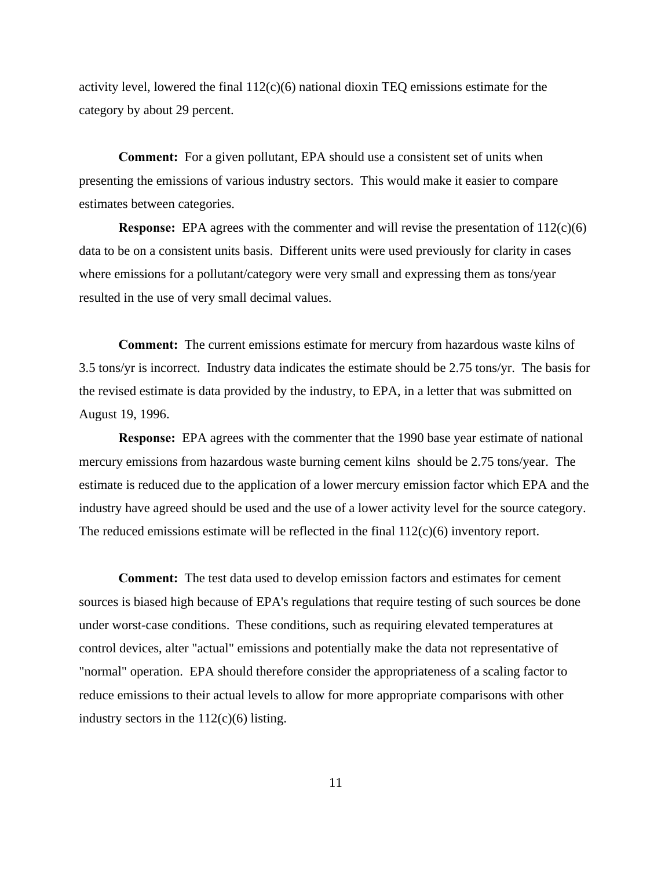activity level, lowered the final  $112(c)(6)$  national dioxin TEQ emissions estimate for the category by about 29 percent.

**Comment:** For a given pollutant, EPA should use a consistent set of units when presenting the emissions of various industry sectors. This would make it easier to compare estimates between categories.

**Response:** EPA agrees with the commenter and will revise the presentation of  $112(c)(6)$ data to be on a consistent units basis. Different units were used previously for clarity in cases where emissions for a pollutant/category were very small and expressing them as tons/year resulted in the use of very small decimal values.

**Comment:** The current emissions estimate for mercury from hazardous waste kilns of 3.5 tons/yr is incorrect. Industry data indicates the estimate should be 2.75 tons/yr. The basis for the revised estimate is data provided by the industry, to EPA, in a letter that was submitted on August 19, 1996.

**Response:** EPA agrees with the commenter that the 1990 base year estimate of national mercury emissions from hazardous waste burning cement kilns should be 2.75 tons/year. The estimate is reduced due to the application of a lower mercury emission factor which EPA and the industry have agreed should be used and the use of a lower activity level for the source category. The reduced emissions estimate will be reflected in the final  $112(c)(6)$  inventory report.

**Comment:** The test data used to develop emission factors and estimates for cement sources is biased high because of EPA's regulations that require testing of such sources be done under worst-case conditions. These conditions, such as requiring elevated temperatures at control devices, alter "actual" emissions and potentially make the data not representative of "normal" operation. EPA should therefore consider the appropriateness of a scaling factor to reduce emissions to their actual levels to allow for more appropriate comparisons with other industry sectors in the  $112(c)(6)$  listing.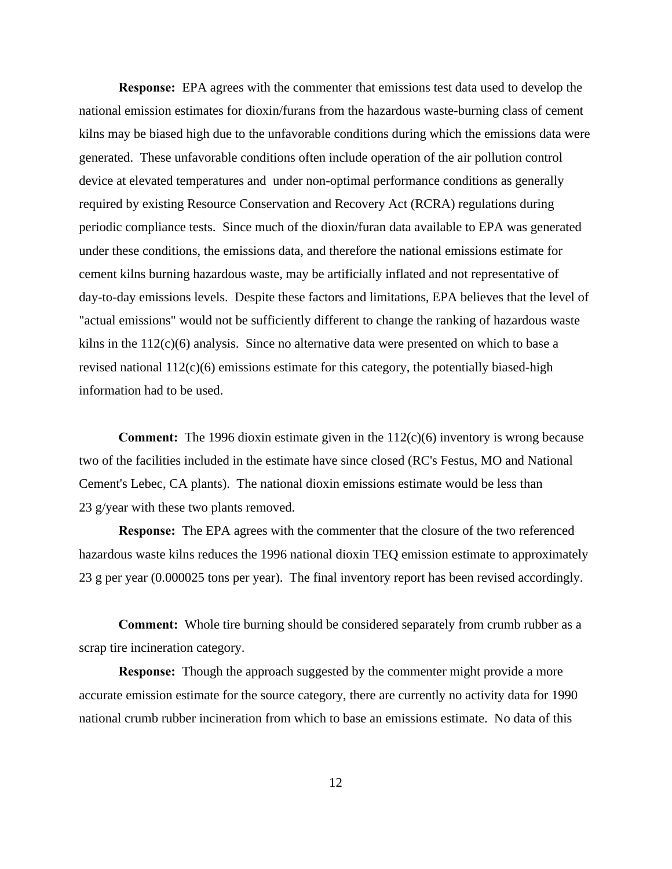**Response:** EPA agrees with the commenter that emissions test data used to develop the national emission estimates for dioxin/furans from the hazardous waste-burning class of cement kilns may be biased high due to the unfavorable conditions during which the emissions data were generated. These unfavorable conditions often include operation of the air pollution control device at elevated temperatures and under non-optimal performance conditions as generally required by existing Resource Conservation and Recovery Act (RCRA) regulations during periodic compliance tests. Since much of the dioxin/furan data available to EPA was generated under these conditions, the emissions data, and therefore the national emissions estimate for cement kilns burning hazardous waste, may be artificially inflated and not representative of day-to-day emissions levels. Despite these factors and limitations, EPA believes that the level of "actual emissions" would not be sufficiently different to change the ranking of hazardous waste kilns in the 112(c)(6) analysis. Since no alternative data were presented on which to base a revised national  $112(c)(6)$  emissions estimate for this category, the potentially biased-high information had to be used.

**Comment:** The 1996 dioxin estimate given in the 112(c)(6) inventory is wrong because two of the facilities included in the estimate have since closed (RC's Festus, MO and National Cement's Lebec, CA plants). The national dioxin emissions estimate would be less than 23 g/year with these two plants removed.

**Response:** The EPA agrees with the commenter that the closure of the two referenced hazardous waste kilns reduces the 1996 national dioxin TEQ emission estimate to approximately 23 g per year (0.000025 tons per year). The final inventory report has been revised accordingly.

**Comment:** Whole tire burning should be considered separately from crumb rubber as a scrap tire incineration category.

**Response:** Though the approach suggested by the commenter might provide a more accurate emission estimate for the source category, there are currently no activity data for 1990 national crumb rubber incineration from which to base an emissions estimate. No data of this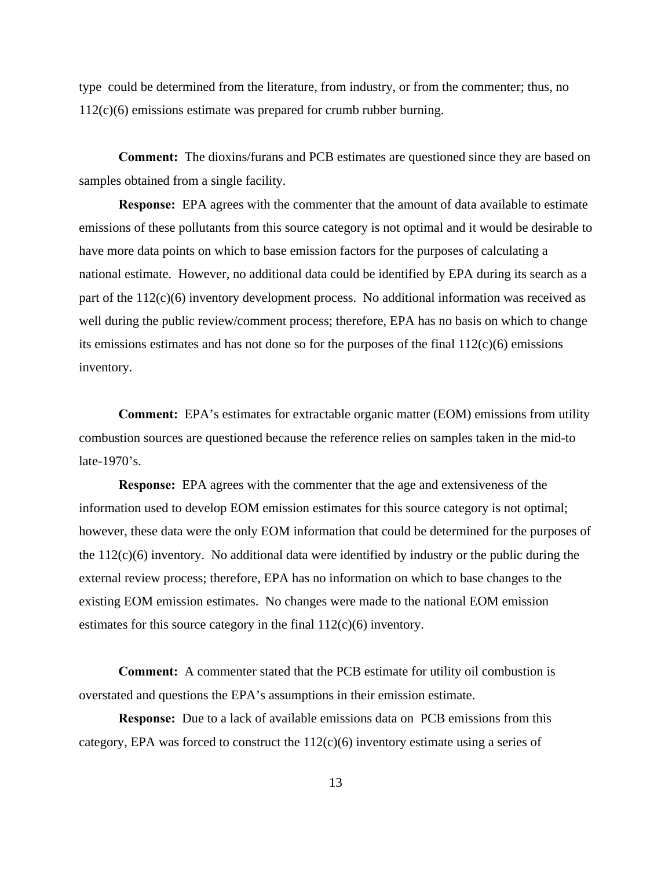type could be determined from the literature, from industry, or from the commenter; thus, no 112(c)(6) emissions estimate was prepared for crumb rubber burning.

**Comment:** The dioxins/furans and PCB estimates are questioned since they are based on samples obtained from a single facility.

**Response:** EPA agrees with the commenter that the amount of data available to estimate emissions of these pollutants from this source category is not optimal and it would be desirable to have more data points on which to base emission factors for the purposes of calculating a national estimate. However, no additional data could be identified by EPA during its search as a part of the 112(c)(6) inventory development process. No additional information was received as well during the public review/comment process; therefore, EPA has no basis on which to change its emissions estimates and has not done so for the purposes of the final  $112(c)(6)$  emissions inventory.

**Comment:** EPA's estimates for extractable organic matter (EOM) emissions from utility combustion sources are questioned because the reference relies on samples taken in the mid-to late-1970's.

**Response:** EPA agrees with the commenter that the age and extensiveness of the information used to develop EOM emission estimates for this source category is not optimal; however, these data were the only EOM information that could be determined for the purposes of the 112(c)(6) inventory. No additional data were identified by industry or the public during the external review process; therefore, EPA has no information on which to base changes to the existing EOM emission estimates. No changes were made to the national EOM emission estimates for this source category in the final 112(c)(6) inventory.

**Comment:** A commenter stated that the PCB estimate for utility oil combustion is overstated and questions the EPA's assumptions in their emission estimate.

**Response:** Due to a lack of available emissions data on PCB emissions from this category, EPA was forced to construct the  $112(c)(6)$  inventory estimate using a series of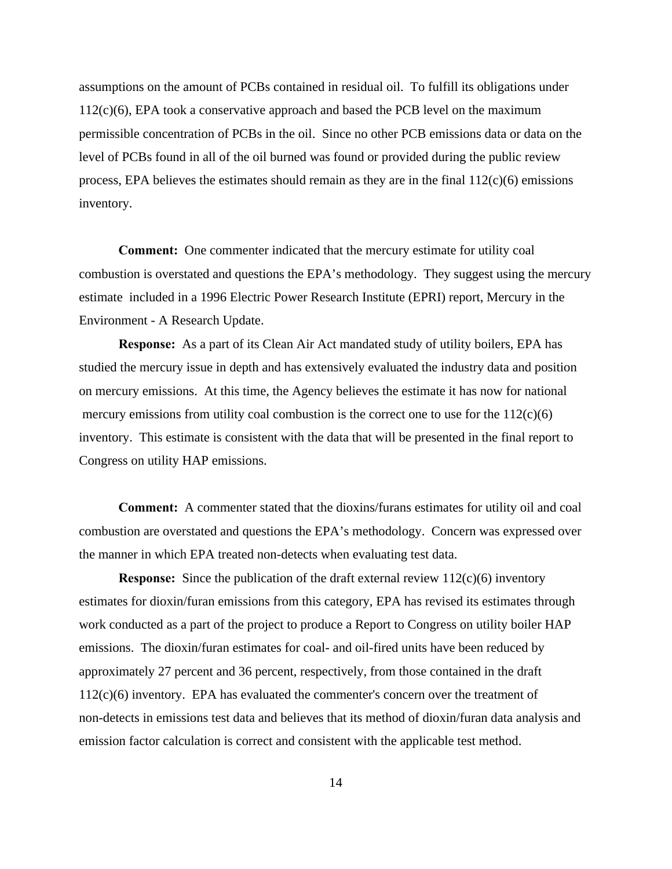assumptions on the amount of PCBs contained in residual oil. To fulfill its obligations under  $112(c)(6)$ , EPA took a conservative approach and based the PCB level on the maximum permissible concentration of PCBs in the oil. Since no other PCB emissions data or data on the level of PCBs found in all of the oil burned was found or provided during the public review process, EPA believes the estimates should remain as they are in the final 112(c)(6) emissions inventory.

**Comment:** One commenter indicated that the mercury estimate for utility coal combustion is overstated and questions the EPA's methodology. They suggest using the mercury estimate included in a 1996 Electric Power Research Institute (EPRI) report, Mercury in the Environment - A Research Update.

**Response:** As a part of its Clean Air Act mandated study of utility boilers, EPA has studied the mercury issue in depth and has extensively evaluated the industry data and position on mercury emissions. At this time, the Agency believes the estimate it has now for national mercury emissions from utility coal combustion is the correct one to use for the  $112(c)(6)$ inventory. This estimate is consistent with the data that will be presented in the final report to Congress on utility HAP emissions.

**Comment:** A commenter stated that the dioxins/furans estimates for utility oil and coal combustion are overstated and questions the EPA's methodology. Concern was expressed over the manner in which EPA treated non-detects when evaluating test data.

**Response:** Since the publication of the draft external review 112(c)(6) inventory estimates for dioxin/furan emissions from this category, EPA has revised its estimates through work conducted as a part of the project to produce a Report to Congress on utility boiler HAP emissions. The dioxin/furan estimates for coal- and oil-fired units have been reduced by approximately 27 percent and 36 percent, respectively, from those contained in the draft 112(c)(6) inventory. EPA has evaluated the commenter's concern over the treatment of non-detects in emissions test data and believes that its method of dioxin/furan data analysis and emission factor calculation is correct and consistent with the applicable test method.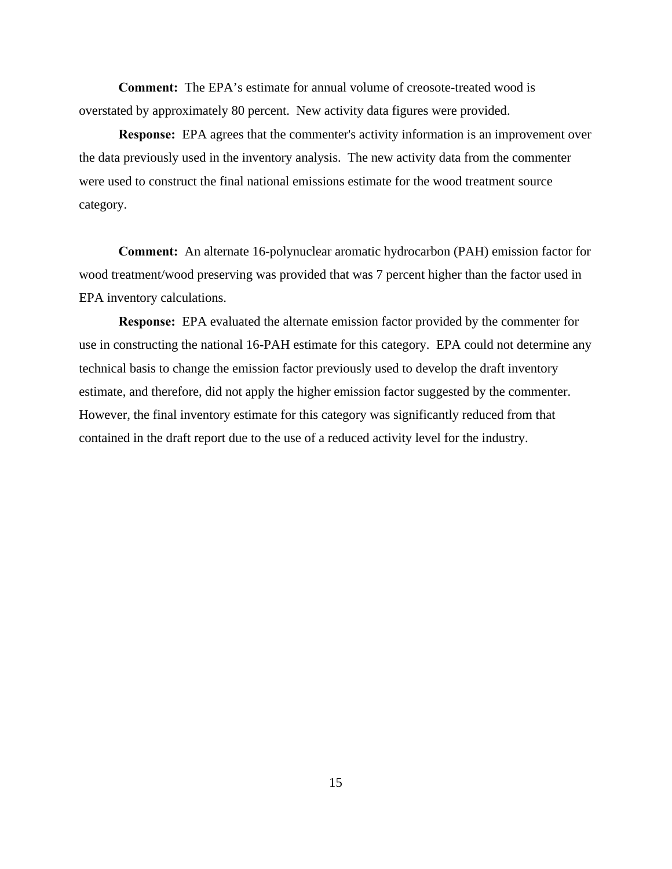**Comment:** The EPA's estimate for annual volume of creosote-treated wood is overstated by approximately 80 percent. New activity data figures were provided.

**Response:** EPA agrees that the commenter's activity information is an improvement over the data previously used in the inventory analysis. The new activity data from the commenter were used to construct the final national emissions estimate for the wood treatment source category.

**Comment:** An alternate 16-polynuclear aromatic hydrocarbon (PAH) emission factor for wood treatment/wood preserving was provided that was 7 percent higher than the factor used in EPA inventory calculations.

**Response:** EPA evaluated the alternate emission factor provided by the commenter for use in constructing the national 16-PAH estimate for this category. EPA could not determine any technical basis to change the emission factor previously used to develop the draft inventory estimate, and therefore, did not apply the higher emission factor suggested by the commenter. However, the final inventory estimate for this category was significantly reduced from that contained in the draft report due to the use of a reduced activity level for the industry.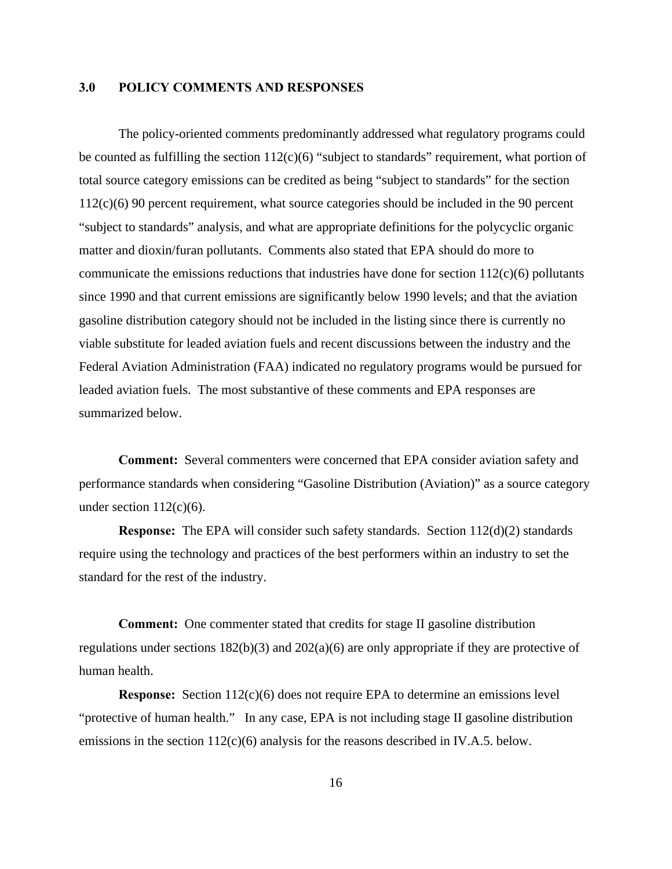### **3.0 POLICY COMMENTS AND RESPONSES**

The policy-oriented comments predominantly addressed what regulatory programs could be counted as fulfilling the section  $112(c)(6)$  "subject to standards" requirement, what portion of total source category emissions can be credited as being "subject to standards" for the section 112(c)(6) 90 percent requirement, what source categories should be included in the 90 percent "subject to standards" analysis, and what are appropriate definitions for the polycyclic organic matter and dioxin/furan pollutants. Comments also stated that EPA should do more to communicate the emissions reductions that industries have done for section  $112(c)(6)$  pollutants since 1990 and that current emissions are significantly below 1990 levels; and that the aviation gasoline distribution category should not be included in the listing since there is currently no viable substitute for leaded aviation fuels and recent discussions between the industry and the Federal Aviation Administration (FAA) indicated no regulatory programs would be pursued for leaded aviation fuels. The most substantive of these comments and EPA responses are summarized below.

**Comment:** Several commenters were concerned that EPA consider aviation safety and performance standards when considering "Gasoline Distribution (Aviation)" as a source category under section  $112(c)(6)$ .

**Response:** The EPA will consider such safety standards. Section 112(d)(2) standards require using the technology and practices of the best performers within an industry to set the standard for the rest of the industry.

**Comment:** One commenter stated that credits for stage II gasoline distribution regulations under sections 182(b)(3) and 202(a)(6) are only appropriate if they are protective of human health.

**Response:** Section 112(c)(6) does not require EPA to determine an emissions level "protective of human health." In any case, EPA is not including stage II gasoline distribution emissions in the section 112(c)(6) analysis for the reasons described in IV.A.5. below.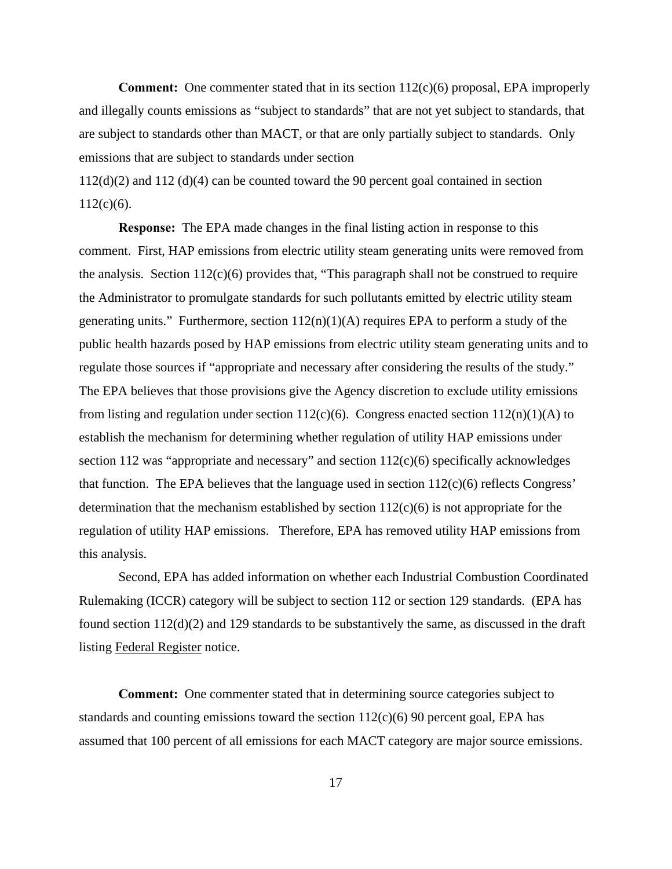**Comment:** One commenter stated that in its section  $112(c)(6)$  proposal, EPA improperly and illegally counts emissions as "subject to standards" that are not yet subject to standards, that are subject to standards other than MACT, or that are only partially subject to standards. Only emissions that are subject to standards under section

112(d)(2) and 112 (d)(4) can be counted toward the 90 percent goal contained in section  $112(c)(6)$ .

**Response:** The EPA made changes in the final listing action in response to this comment. First, HAP emissions from electric utility steam generating units were removed from the analysis. Section  $112(c)(6)$  provides that, "This paragraph shall not be construed to require the Administrator to promulgate standards for such pollutants emitted by electric utility steam generating units." Furthermore, section  $112(n)(1)(A)$  requires EPA to perform a study of the public health hazards posed by HAP emissions from electric utility steam generating units and to regulate those sources if "appropriate and necessary after considering the results of the study." The EPA believes that those provisions give the Agency discretion to exclude utility emissions from listing and regulation under section  $112(c)(6)$ . Congress enacted section  $112(n)(1)(A)$  to establish the mechanism for determining whether regulation of utility HAP emissions under section 112 was "appropriate and necessary" and section  $112(c)(6)$  specifically acknowledges that function. The EPA believes that the language used in section 112(c)(6) reflects Congress' determination that the mechanism established by section  $112(c)(6)$  is not appropriate for the regulation of utility HAP emissions. Therefore, EPA has removed utility HAP emissions from this analysis.

Second, EPA has added information on whether each Industrial Combustion Coordinated Rulemaking (ICCR) category will be subject to section 112 or section 129 standards. (EPA has found section 112(d)(2) and 129 standards to be substantively the same, as discussed in the draft listing Federal Register notice.

**Comment:** One commenter stated that in determining source categories subject to standards and counting emissions toward the section  $112(c)(6)$  90 percent goal, EPA has assumed that 100 percent of all emissions for each MACT category are major source emissions.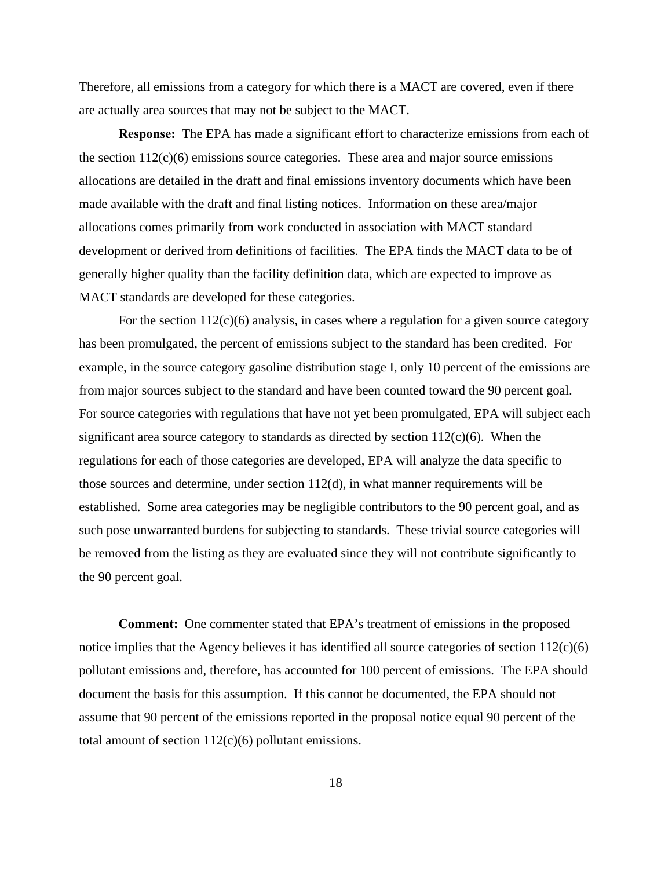Therefore, all emissions from a category for which there is a MACT are covered, even if there are actually area sources that may not be subject to the MACT.

**Response:** The EPA has made a significant effort to characterize emissions from each of the section  $112(c)(6)$  emissions source categories. These area and major source emissions allocations are detailed in the draft and final emissions inventory documents which have been made available with the draft and final listing notices. Information on these area/major allocations comes primarily from work conducted in association with MACT standard development or derived from definitions of facilities. The EPA finds the MACT data to be of generally higher quality than the facility definition data, which are expected to improve as MACT standards are developed for these categories.

For the section  $112(c)(6)$  analysis, in cases where a regulation for a given source category has been promulgated, the percent of emissions subject to the standard has been credited. For example, in the source category gasoline distribution stage I, only 10 percent of the emissions are from major sources subject to the standard and have been counted toward the 90 percent goal. For source categories with regulations that have not yet been promulgated, EPA will subject each significant area source category to standards as directed by section  $112(c)(6)$ . When the regulations for each of those categories are developed, EPA will analyze the data specific to those sources and determine, under section 112(d), in what manner requirements will be established. Some area categories may be negligible contributors to the 90 percent goal, and as such pose unwarranted burdens for subjecting to standards. These trivial source categories will be removed from the listing as they are evaluated since they will not contribute significantly to the 90 percent goal.

**Comment:** One commenter stated that EPA's treatment of emissions in the proposed notice implies that the Agency believes it has identified all source categories of section  $112(c)(6)$ pollutant emissions and, therefore, has accounted for 100 percent of emissions. The EPA should document the basis for this assumption. If this cannot be documented, the EPA should not assume that 90 percent of the emissions reported in the proposal notice equal 90 percent of the total amount of section  $112(c)(6)$  pollutant emissions.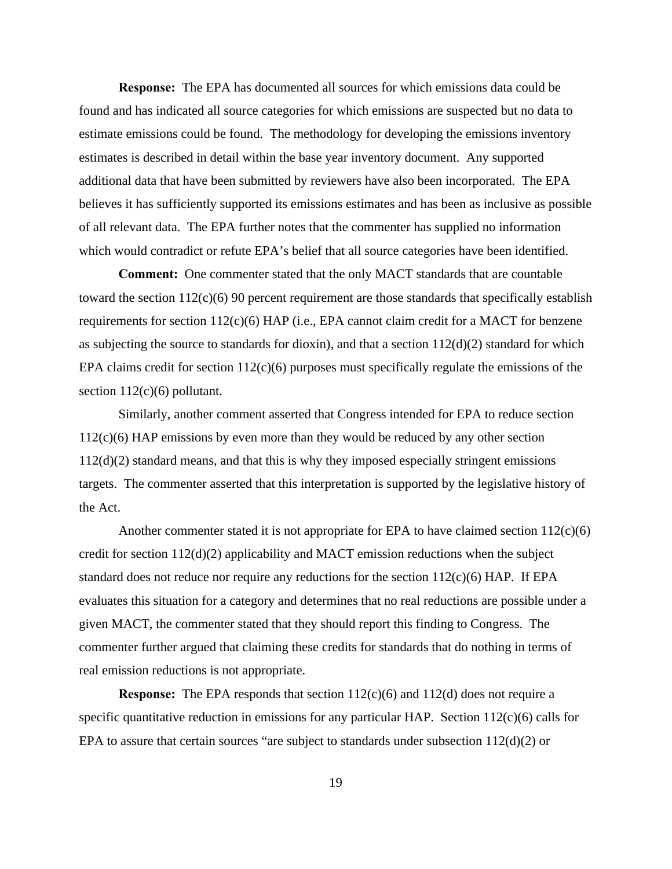**Response:** The EPA has documented all sources for which emissions data could be found and has indicated all source categories for which emissions are suspected but no data to estimate emissions could be found. The methodology for developing the emissions inventory estimates is described in detail within the base year inventory document. Any supported additional data that have been submitted by reviewers have also been incorporated. The EPA believes it has sufficiently supported its emissions estimates and has been as inclusive as possible of all relevant data. The EPA further notes that the commenter has supplied no information which would contradict or refute EPA's belief that all source categories have been identified.

**Comment:** One commenter stated that the only MACT standards that are countable toward the section  $112(c)(6)$  90 percent requirement are those standards that specifically establish requirements for section 112(c)(6) HAP (i.e., EPA cannot claim credit for a MACT for benzene as subjecting the source to standards for dioxin), and that a section  $112(d)(2)$  standard for which EPA claims credit for section 112(c)(6) purposes must specifically regulate the emissions of the section  $112(c)(6)$  pollutant.

Similarly, another comment asserted that Congress intended for EPA to reduce section 112(c)(6) HAP emissions by even more than they would be reduced by any other section  $112(d)(2)$  standard means, and that this is why they imposed especially stringent emissions targets. The commenter asserted that this interpretation is supported by the legislative history of the Act.

Another commenter stated it is not appropriate for EPA to have claimed section  $112(c)(6)$ credit for section 112(d)(2) applicability and MACT emission reductions when the subject standard does not reduce nor require any reductions for the section  $112(c)(6)$  HAP. If EPA evaluates this situation for a category and determines that no real reductions are possible under a given MACT, the commenter stated that they should report this finding to Congress. The commenter further argued that claiming these credits for standards that do nothing in terms of real emission reductions is not appropriate.

**Response:** The EPA responds that section  $112(c)(6)$  and  $112(d)$  does not require a specific quantitative reduction in emissions for any particular HAP. Section 112(c)(6) calls for EPA to assure that certain sources "are subject to standards under subsection  $112(d)(2)$  or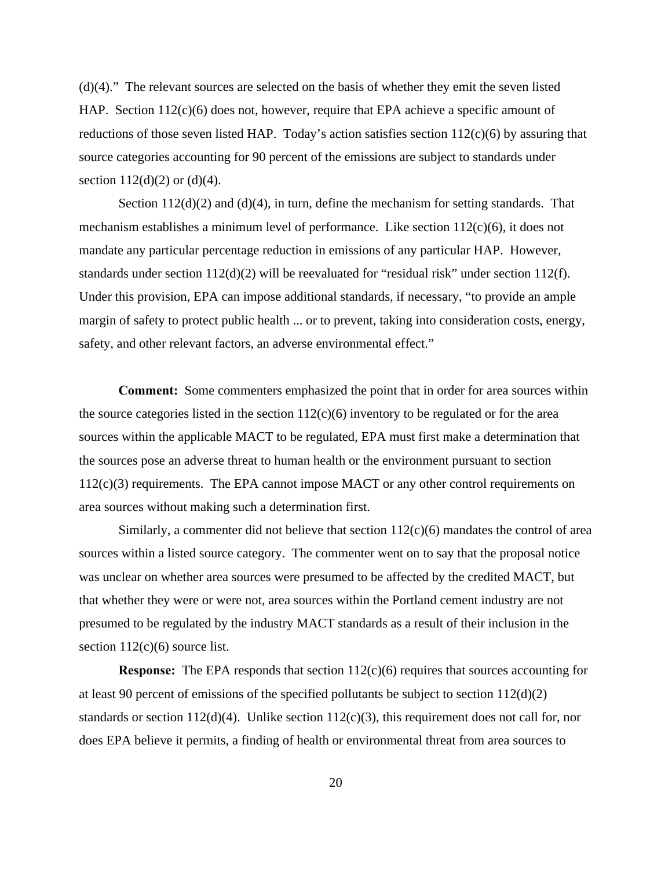(d)(4)." The relevant sources are selected on the basis of whether they emit the seven listed HAP. Section 112(c)(6) does not, however, require that EPA achieve a specific amount of reductions of those seven listed HAP. Today's action satisfies section  $112(c)(6)$  by assuring that source categories accounting for 90 percent of the emissions are subject to standards under section  $112(d)(2)$  or  $(d)(4)$ .

Section  $112(d)(2)$  and  $(d)(4)$ , in turn, define the mechanism for setting standards. That mechanism establishes a minimum level of performance. Like section  $112(c)(6)$ , it does not mandate any particular percentage reduction in emissions of any particular HAP. However, standards under section  $112(d)(2)$  will be reevaluated for "residual risk" under section  $112(f)$ . Under this provision, EPA can impose additional standards, if necessary, "to provide an ample margin of safety to protect public health ... or to prevent, taking into consideration costs, energy, safety, and other relevant factors, an adverse environmental effect."

**Comment:** Some commenters emphasized the point that in order for area sources within the source categories listed in the section  $112(c)(6)$  inventory to be regulated or for the area sources within the applicable MACT to be regulated, EPA must first make a determination that the sources pose an adverse threat to human health or the environment pursuant to section 112(c)(3) requirements. The EPA cannot impose MACT or any other control requirements on area sources without making such a determination first.

Similarly, a commenter did not believe that section  $112(c)(6)$  mandates the control of area sources within a listed source category. The commenter went on to say that the proposal notice was unclear on whether area sources were presumed to be affected by the credited MACT, but that whether they were or were not, area sources within the Portland cement industry are not presumed to be regulated by the industry MACT standards as a result of their inclusion in the section  $112(c)(6)$  source list.

**Response:** The EPA responds that section 112(c)(6) requires that sources accounting for at least 90 percent of emissions of the specified pollutants be subject to section 112(d)(2) standards or section 112(d)(4). Unlike section 112(c)(3), this requirement does not call for, nor does EPA believe it permits, a finding of health or environmental threat from area sources to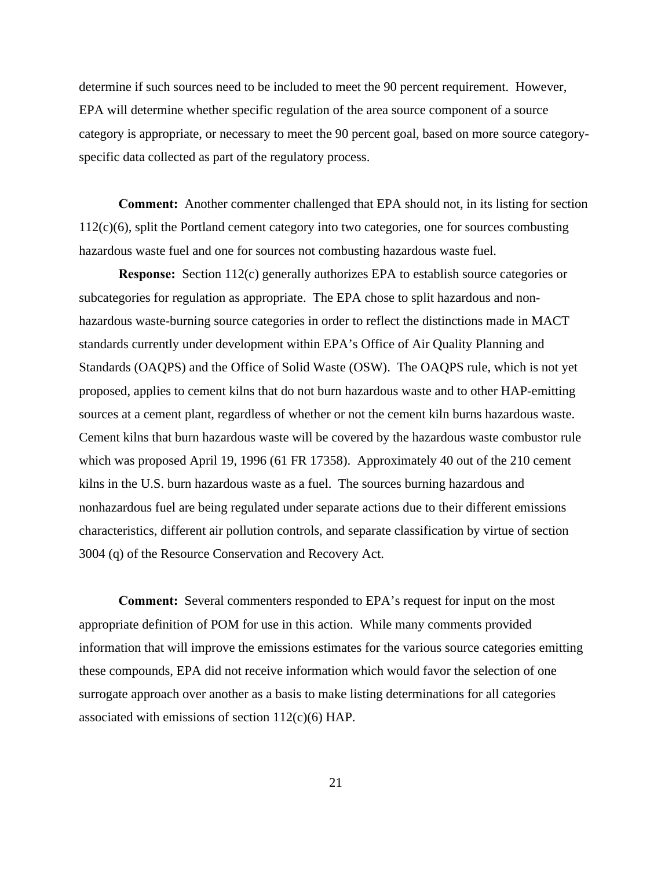determine if such sources need to be included to meet the 90 percent requirement. However, EPA will determine whether specific regulation of the area source component of a source category is appropriate, or necessary to meet the 90 percent goal, based on more source categoryspecific data collected as part of the regulatory process.

**Comment:** Another commenter challenged that EPA should not, in its listing for section 112(c)(6), split the Portland cement category into two categories, one for sources combusting hazardous waste fuel and one for sources not combusting hazardous waste fuel.

**Response:** Section 112(c) generally authorizes EPA to establish source categories or subcategories for regulation as appropriate. The EPA chose to split hazardous and nonhazardous waste-burning source categories in order to reflect the distinctions made in MACT standards currently under development within EPA's Office of Air Quality Planning and Standards (OAQPS) and the Office of Solid Waste (OSW). The OAQPS rule, which is not yet proposed, applies to cement kilns that do not burn hazardous waste and to other HAP-emitting sources at a cement plant, regardless of whether or not the cement kiln burns hazardous waste. Cement kilns that burn hazardous waste will be covered by the hazardous waste combustor rule which was proposed April 19, 1996 (61 FR 17358). Approximately 40 out of the 210 cement kilns in the U.S. burn hazardous waste as a fuel. The sources burning hazardous and nonhazardous fuel are being regulated under separate actions due to their different emissions characteristics, different air pollution controls, and separate classification by virtue of section 3004 (q) of the Resource Conservation and Recovery Act.

**Comment:** Several commenters responded to EPA's request for input on the most appropriate definition of POM for use in this action. While many comments provided information that will improve the emissions estimates for the various source categories emitting these compounds, EPA did not receive information which would favor the selection of one surrogate approach over another as a basis to make listing determinations for all categories associated with emissions of section 112(c)(6) HAP.